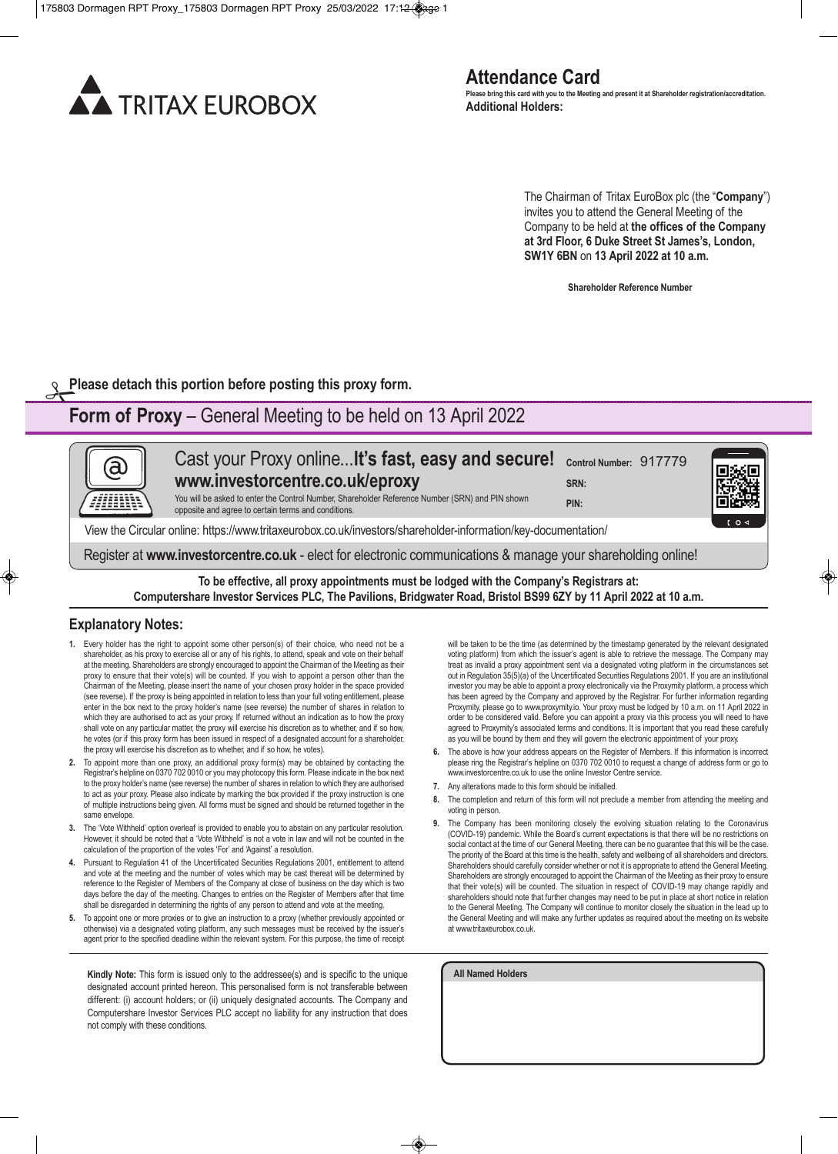

The Chairman of Tritax EuroBox plc (the "**Company**") invites you to attend the General Meeting of the Company to be held at **the offices of the Company at 3rd Floor, 6 Duke Street St James's, London, SW1Y 6BN** on **13 April 2022 at 10 a.m.**

**Shareholder Reference Number**

**Please detach this portion before posting this proxy form.** 

## **Form of Proxy** – General Meeting to be held on 13 April 2022

Cast your Proxy online...**lt's fast, easy and secure! Control Number:** 917779 (a) **www.investorcentre.co.uk/eproxy SRN:**  You will be asked to enter the Control Number, Shareholder Reference Number (SRN) and PIN shown **PIN:** opposite and agree to certain terms and conditions. View the Circular online: https://www.tritaxeurobox.co.uk/investors/shareholder-information/key-documentation/ Register at **www.investorcentre.co.uk** - elect for electronic communications & manage your shareholding online!

**To be effective, all proxy appointments must be lodged with the Company's Registrars at: Computershare Investor Services PLC, The Pavilions, Bridgwater Road, Bristol BS99 6ZY by 11 April 2022 at 10 a.m.**

### **Explanatory Notes:**

- **1.** Every holder has the right to appoint some other person(s) of their choice, who need not be a shareholder, as his proxy to exercise all or any of his rights, to attend, speak and vote on their behalf at the meeting. Shareholders are strongly encouraged to appoint the Chairman of the Meeting as their proxy to ensure that their vote(s) will be counted. If you wish to appoint a person other than the Chairman of the Meeting, please insert the name of your chosen proxy holder in the space provided (see reverse). If the proxy is being appointed in relation to less than your full voting entitlement, please enter in the box next to the proxy holder's name (see reverse) the number of shares in relation to which they are authorised to act as your proxy. If returned without an indication as to how the proxy shall vote on any particular matter, the proxy will exercise his discretion as to whether, and if so how, he votes (or if this proxy form has been issued in respect of a designated account for a shareholder, the proxy will exercise his discretion as to whether, and if so how, he votes).
- **2.** To appoint more than one proxy, an additional proxy form(s) may be obtained by contacting the Registrar's helpline on 0370 702 0010 or you may photocopy this form. Please indicate in the box next to the proxy holder's name (see reverse) the number of shares in relation to which they are authorised to act as your proxy. Please also indicate by marking the box provided if the proxy instruction is one of multiple instructions being given. All forms must be signed and should be returned together in the same envelope.
- **3.** The 'Vote Withheld' option overleaf is provided to enable you to abstain on any particular resolution. However, it should be noted that a 'Vote Withheld' is not a vote in law and will not be counted in the calculation of the proportion of the votes 'For' and 'Against' a resolution.
- **4.** Pursuant to Regulation 41 of the Uncertificated Securities Regulations 2001, entitlement to attend and vote at the meeting and the number of votes which may be cast thereat will be determined by reference to the Register of Members of the Company at close of business on the day which is two days before the day of the meeting. Changes to entries on the Register of Members after that time shall be disregarded in determining the rights of any person to attend and vote at the meeting.
- **5.** To appoint one or more proxies or to give an instruction to a proxy (whether previously appointed or otherwise) via a designated voting platform, any such messages must be received by the issuer's agent prior to the specified deadline within the relevant system. For this purpose, the time of receipt

**Kindly Note:** This form is issued only to the addressee(s) and is specific to the unique designated account printed hereon. This personalised form is not transferable between different: (i) account holders; or (ii) uniquely designated accounts. The Company and Computershare Investor Services PLC accept no liability for any instruction that does not comply with these conditions.

will be taken to be the time (as determined by the timestamp generated by the relevant designated voting platform) from which the issuer's agent is able to retrieve the message. The Company may treat as invalid a proxy appointment sent via a designated voting platform in the circumstances set out in Regulation 35(5)(a) of the Uncertificated Securities Regulations 2001. If you are an institutional investor you may be able to appoint a proxy electronically via the Proxymity platform, a process which has been agreed by the Company and approved by the Registrar. For further information regarding Proxymity, please go to www.proxymity.io. Your proxy must be lodged by 10 a.m. on 11 April 2022 in order to be considered valid. Before you can appoint a proxy via this process you will need to have agreed to Proxymity's associated terms and conditions. It is important that you read these carefully as you will be bound by them and they will govern the electronic appointment of your proxy.

- **6.** The above is how your address appears on the Register of Members. If this information is incorrect please ring the Registrar's helpline on 0370 702 0010 to request a change of address form or go to www.investorcentre.co.uk to use the online Investor Centre service.
- **7.** Any alterations made to this form should be initialled.
- **8.** The completion and return of this form will not preclude a member from attending the meeting and voting in person.
- **9.** The Company has been monitoring closely the evolving situation relating to the Coronavirus (COVID-19) pandemic. While the Board's current expectations is that there will be no restrictions on social contact at the time of our General Meeting, there can be no guarantee that this will be the case. The priority of the Board at this time is the health, safety and wellbeing of all shareholders and directors. Shareholders should carefully consider whether or not it is appropriate to attend the General Meeting. Shareholders are strongly encouraged to appoint the Chairman of the Meeting as their proxy to ensure that their vote(s) will be counted. The situation in respect of COVID-19 may change rapidly and shareholders should note that further changes may need to be put in place at short notice in relation to the General Meeting. The Company will continue to monitor closely the situation in the lead up to the General Meeting and will make any further updates as required about the meeting on its website at www.tritaxeurobox.co.uk.

**All Named Holders**